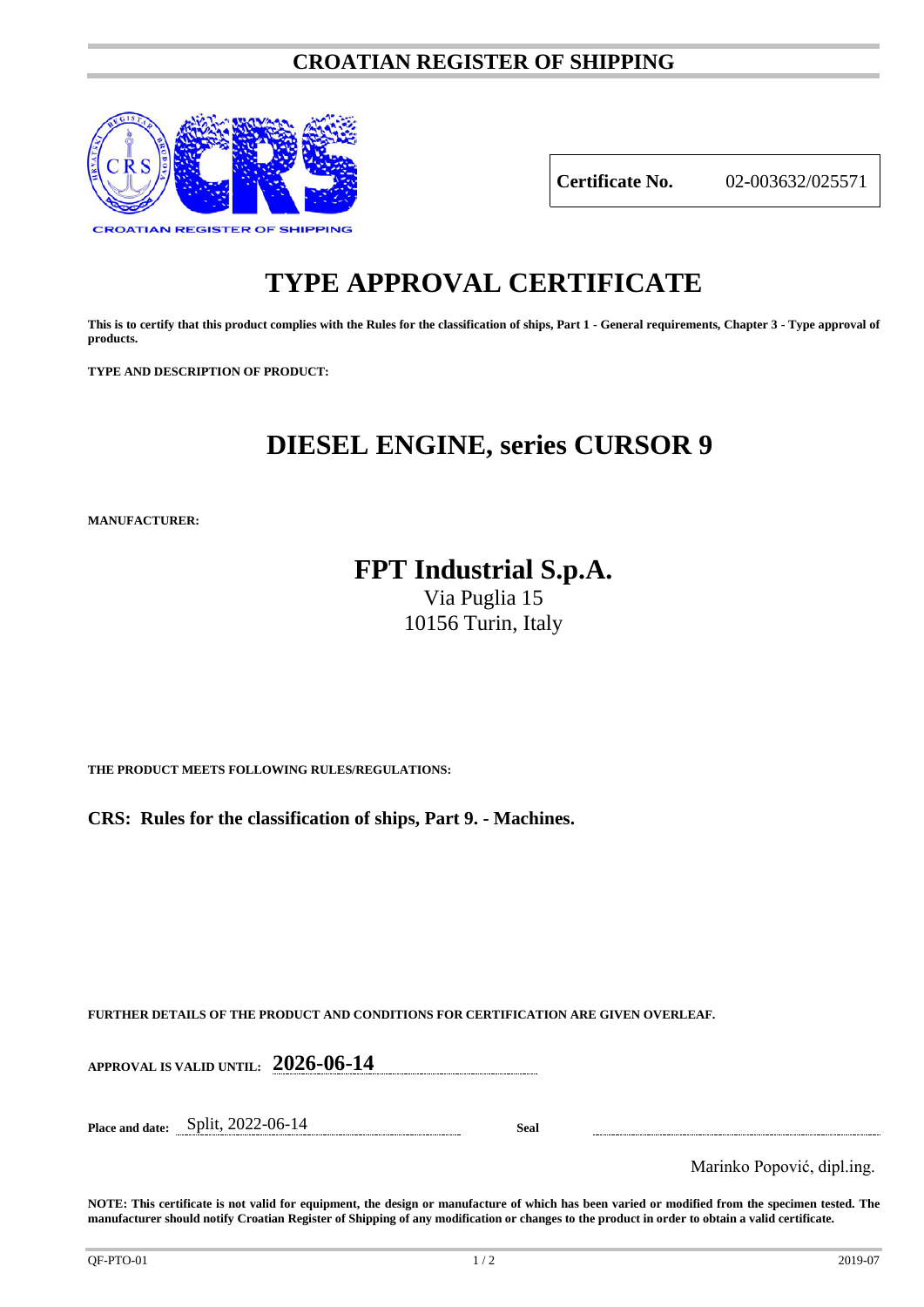# **CROATIAN REGISTER OF SHIPPING**



**Certificate No.** 02-003632/025571

# **TYPE APPROVAL CERTIFICATE**

**This is to certify that this product complies with the Rules for the classification of ships, Part 1 - General requirements, Chapter 3 - Type approval of products.**

**TYPE AND DESCRIPTION OF PRODUCT:** 

# **DIESEL ENGINE, series CURSOR 9**

**MANUFACTURER:**

**FPT Industrial S.p.A.**

Via Puglia 15 10156 Turin, Italy

**THE PRODUCT MEETS FOLLOWING RULES/REGULATIONS:**

**CRS: Rules for the classification of ships, Part 9. - Machines.**

**FURTHER DETAILS OF THE PRODUCT AND CONDITIONS FOR CERTIFICATION ARE GIVEN OVERLEAF.**

**APPROVAL IS VALID UNTIL: 2026-06-14**

**Place and date:** Split, 2022-06-14 **Seal**

Marinko Popović, dipl.ing.

**NOTE: This certificate is not valid for equipment, the design or manufacture of which has been varied or modified from the specimen tested. The manufacturer should notify Croatian Register of Shipping of any modification or changes to the product in order to obtain a valid certificate.**